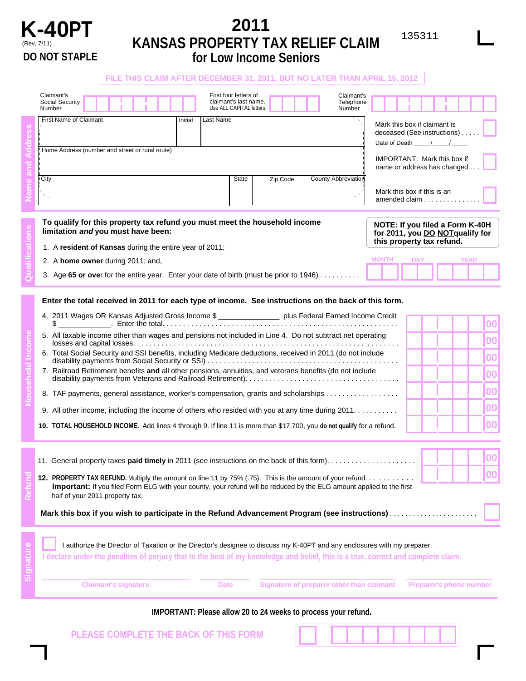

## **K-40PT** 2011 (Rev. 7/11) **KANSAS PROPERTY TAX RELIEF CLAIM DO NOT STAPLE for Low Income Seniors**

|  | FILE THIS CLAIM AFTER DECEMBER 31, 2011, BUT NO LATER THAN APRIL 15, 2012                                                                                                                                                                                            |         |             |                                                                            |          |                                                                                    |                                                                                                 |                                                                   |  |             |  |
|--|----------------------------------------------------------------------------------------------------------------------------------------------------------------------------------------------------------------------------------------------------------------------|---------|-------------|----------------------------------------------------------------------------|----------|------------------------------------------------------------------------------------|-------------------------------------------------------------------------------------------------|-------------------------------------------------------------------|--|-------------|--|
|  | Claimant's<br>Social Security<br>Number                                                                                                                                                                                                                              |         |             | First four letters of<br>claimant's last name.<br>Use ALL CAPITAL letters. |          | Claimant's<br>Telephone<br>Number                                                  |                                                                                                 |                                                                   |  |             |  |
|  | First Name of Claimant                                                                                                                                                                                                                                               | Initial | Last Name   |                                                                            |          | Mark this box if claimant is<br>deceased (See instructions)<br>Date of Death ///// |                                                                                                 |                                                                   |  |             |  |
|  | Home Address (number and street or rural route)                                                                                                                                                                                                                      |         |             |                                                                            |          |                                                                                    |                                                                                                 | <b>IMPORTANT: Mark this box if</b><br>name or address has changed |  |             |  |
|  | City<br>${\bf \ddot{}}$ $\sim$                                                                                                                                                                                                                                       |         |             | State                                                                      | Zip Code | <b>County Abbreviation</b>                                                         |                                                                                                 | Mark this box if this is an<br>amended claim                      |  |             |  |
|  | To qualify for this property tax refund you must meet the household income<br>limitation and you must have been:                                                                                                                                                     |         |             |                                                                            |          |                                                                                    | NOTE: If you filed a Form K-40H<br>for 2011, you DO NOTqualify for<br>this property tax refund. |                                                                   |  |             |  |
|  | 1. A resident of Kansas during the entire year of 2011;                                                                                                                                                                                                              |         |             |                                                                            |          |                                                                                    |                                                                                                 | <b>DAY</b>                                                        |  | <b>YEAR</b> |  |
|  | <b>MONTH</b><br>2. A home owner during 2011; and,<br>3. Age 65 or over for the entire year. Enter your date of birth (must be prior to 1946)                                                                                                                         |         |             |                                                                            |          |                                                                                    |                                                                                                 |                                                                   |  |             |  |
|  | Enter the total received in 2011 for each type of income. See instructions on the back of this form.<br>4. 2011 Wages OR Kansas Adjusted Gross Income \$ __________________ plus Federal Earned Income Credit                                                        |         |             |                                                                            |          |                                                                                    |                                                                                                 |                                                                   |  |             |  |
|  |                                                                                                                                                                                                                                                                      |         |             |                                                                            |          |                                                                                    |                                                                                                 |                                                                   |  | 00          |  |
|  | 5. All taxable income other than wages and pensions not included in Line 4. Do not subtract net operating                                                                                                                                                            |         |             |                                                                            |          |                                                                                    |                                                                                                 |                                                                   |  | 00          |  |
|  | 6. Total Social Security and SSI benefits, including Medicare deductions, received in 2011 (do not include                                                                                                                                                           |         |             |                                                                            |          |                                                                                    |                                                                                                 |                                                                   |  | 00          |  |
|  | 7. Railroad Retirement benefits and all other pensions, annuities, and veterans benefits (do not include                                                                                                                                                             |         |             |                                                                            |          |                                                                                    |                                                                                                 |                                                                   |  | 00          |  |
|  | 8. TAF payments, general assistance, worker's compensation, grants and scholarships                                                                                                                                                                                  |         |             |                                                                            |          |                                                                                    |                                                                                                 |                                                                   |  | 00          |  |
|  | 9. All other income, including the income of others who resided with you at any time during 2011.                                                                                                                                                                    |         |             |                                                                            |          |                                                                                    |                                                                                                 |                                                                   |  | 00          |  |
|  | 10. TOTAL HOUSEHOLD INCOME. Add lines 4 through 9. If line 11 is more than \$17,700, you do not qualify for a refund.                                                                                                                                                |         |             |                                                                            |          |                                                                                    |                                                                                                 |                                                                   |  | 00          |  |
|  |                                                                                                                                                                                                                                                                      |         |             |                                                                            |          |                                                                                    |                                                                                                 |                                                                   |  |             |  |
|  |                                                                                                                                                                                                                                                                      |         |             |                                                                            |          |                                                                                    |                                                                                                 |                                                                   |  | 00          |  |
|  | 12. PROPERTY TAX REFUND. Multiply the amount on line 11 by 75% (.75). This is the amount of your refund.<br>Important: If you filed Form ELG with your county, your refund will be reduced by the ELG amount applied to the first<br>half of your 2011 property tax. |         |             |                                                                            |          |                                                                                    |                                                                                                 | 00                                                                |  |             |  |
|  |                                                                                                                                                                                                                                                                      |         |             |                                                                            |          |                                                                                    |                                                                                                 |                                                                   |  |             |  |
|  | I authorize the Director of Taxation or the Director's designee to discuss my K-40PT and any enclosures with my preparer.<br>I declare under the penalties of perjury that to the best of my knowledge and belief, this is a true, correct and complete claim.       |         |             |                                                                            |          |                                                                                    |                                                                                                 |                                                                   |  |             |  |
|  | <b>Claimant's signature</b>                                                                                                                                                                                                                                          |         | <b>Date</b> |                                                                            |          | Signature of preparer other than claimant                                          |                                                                                                 | <b>Preparer's phone number</b>                                    |  |             |  |

## **IMPORTANT: Please allow 20 to 24 weeks to process your refund.**

**PLEASE COMPLETE THE BACK OF THIS FORM**